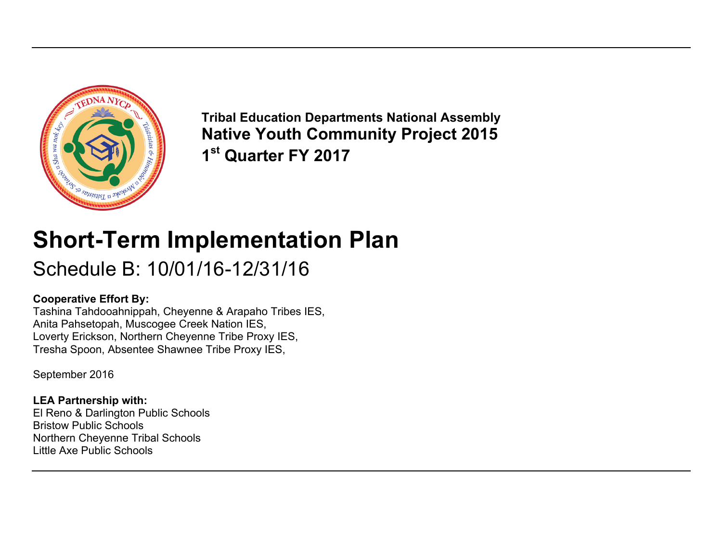

**Tribal Education Departments National Assembly Native Youth Community Project 2015 1st Quarter FY 2017**

# **Short-Term Implementation Plan**

# Schedule B: 10/01/16-12/31/16

### **Cooperative Effort By:**

Tashina Tahdooahnippah, Cheyenne & Arapaho Tribes IES, Anita Pahsetopah, Muscogee Creek Nation IES, Loverty Erickson, Northern Cheyenne Tribe Proxy IES, Tresha Spoon, Absentee Shawnee Tribe Proxy IES,

September 2016

### **LEA Partnership with:**

El Reno & Darlington Public Schools Bristow Public Schools Northern Cheyenne Tribal Schools Little Axe Public Schools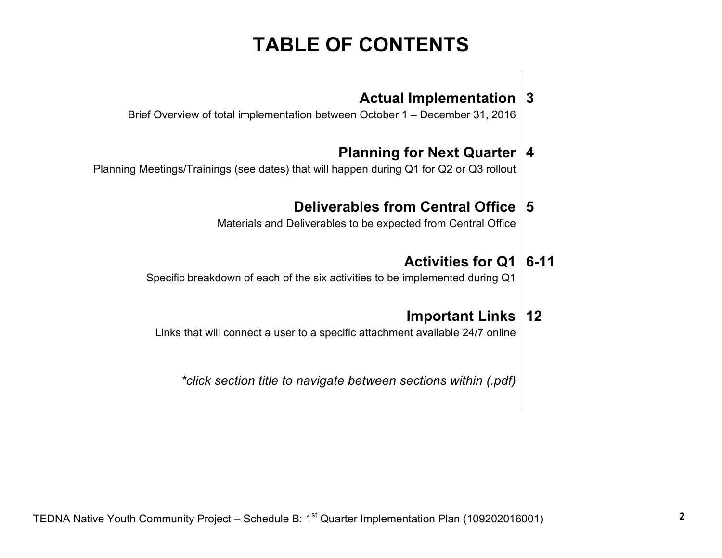# **TABLE OF CONTENTS**

### **[Actual Implementation](#page-2-0) 3**

Brief Overview of total implementation between October 1 – December 31, 2016

### **Planning for Next Quarter 4**

Planning Meetings/Trainings [\(see dates\) that will happen during Q1 for Q2 or Q3 rollout](#page-3-0)

### **Deliverables from Central Office 5**

[Materials and Deliverables to be expected from Central Office](#page-4-0)

### **Activities for Q1 6-11**

[Specific breakdown of each of the six activities to be implemented during Q1](#page-5-0)

### **Important Links 12**

[Links that will connect a user to a specific attachment available 24/7 online](#page-11-0)

*\*click section title to navigate between sections within (.pdf)*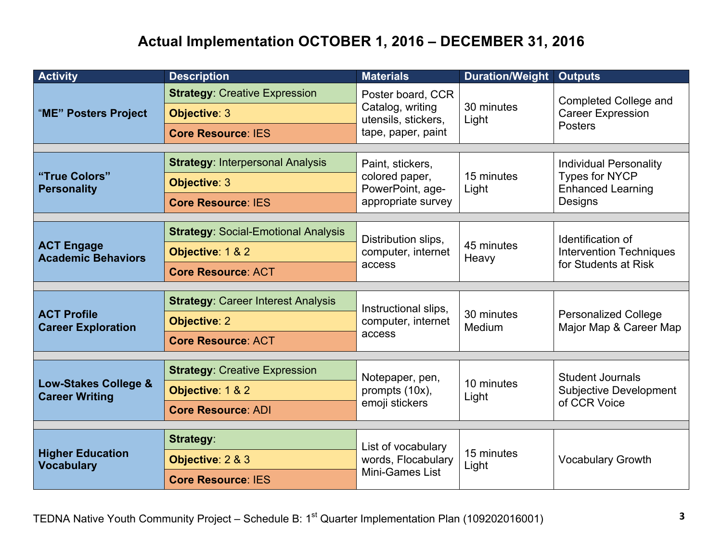## **Actual Implementation OCTOBER 1, 2016 – DECEMBER 31, 2016**

<span id="page-2-0"></span>

| <b>Activity</b>                                          | <b>Description</b>                                                                            | <b>Materials</b>                                                                   | <b>Duration/Weight</b> | <b>Outputs</b>                                                                                |
|----------------------------------------------------------|-----------------------------------------------------------------------------------------------|------------------------------------------------------------------------------------|------------------------|-----------------------------------------------------------------------------------------------|
| "ME" Posters Project                                     | <b>Strategy: Creative Expression</b><br><b>Objective: 3</b><br><b>Core Resource: IES</b>      | Poster board, CCR<br>Catalog, writing<br>utensils, stickers,<br>tape, paper, paint | 30 minutes<br>Light    | <b>Completed College and</b><br><b>Career Expression</b><br><b>Posters</b>                    |
| "True Colors"<br><b>Personality</b>                      | <b>Strategy: Interpersonal Analysis</b><br><b>Objective: 3</b><br><b>Core Resource: IES</b>   | Paint, stickers,<br>colored paper,<br>PowerPoint, age-<br>appropriate survey       | 15 minutes<br>Light    | <b>Individual Personality</b><br><b>Types for NYCP</b><br><b>Enhanced Learning</b><br>Designs |
| <b>ACT Engage</b><br><b>Academic Behaviors</b>           | <b>Strategy: Social-Emotional Analysis</b><br>Objective: 1 & 2<br><b>Core Resource: ACT</b>   | Distribution slips,<br>computer, internet<br>access                                | 45 minutes<br>Heavy    | Identification of<br><b>Intervention Techniques</b><br>for Students at Risk                   |
| <b>ACT Profile</b><br><b>Career Exploration</b>          | <b>Strategy: Career Interest Analysis</b><br><b>Objective: 2</b><br><b>Core Resource: ACT</b> | Instructional slips,<br>computer, internet<br>access                               | 30 minutes<br>Medium   | <b>Personalized College</b><br>Major Map & Career Map                                         |
| <b>Low-Stakes College &amp;</b><br><b>Career Writing</b> | <b>Strategy: Creative Expression</b><br>Objective: 1 & 2<br><b>Core Resource: ADI</b>         | Notepaper, pen,<br>prompts (10x),<br>emoji stickers                                | 10 minutes<br>Light    | <b>Student Journals</b><br><b>Subjective Development</b><br>of CCR Voice                      |
| <b>Higher Education</b><br><b>Vocabulary</b>             | <b>Strategy:</b><br>Objective: 2 & 3<br><b>Core Resource: IES</b>                             | List of vocabulary<br>words, Flocabulary<br>Mini-Games List                        | 15 minutes<br>Light    | <b>Vocabulary Growth</b>                                                                      |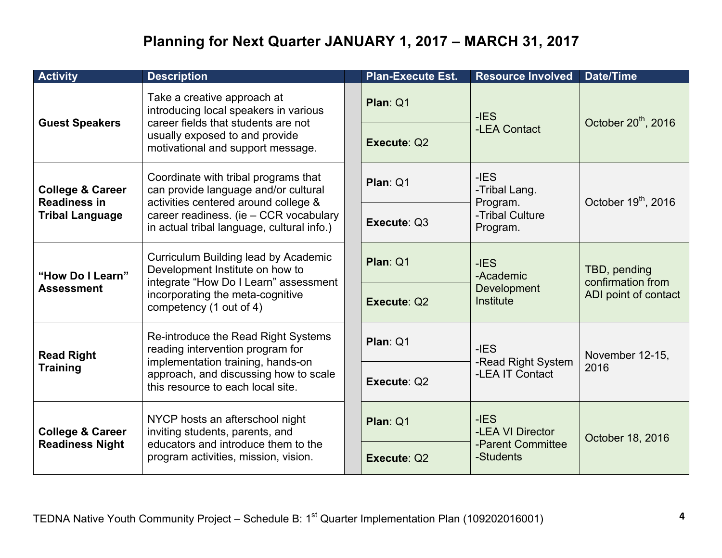## **Planning for Next Quarter JANUARY 1, 2017 – MARCH 31, 2017**

<span id="page-3-0"></span>

| <b>Activity</b>                                                              | <b>Description</b>                                                                                                                                                                                           | <b>Plan-Execute Est.</b>                 | <b>Resource Involved</b>                        | <b>Date/Time</b>                                          |
|------------------------------------------------------------------------------|--------------------------------------------------------------------------------------------------------------------------------------------------------------------------------------------------------------|------------------------------------------|-------------------------------------------------|-----------------------------------------------------------|
| <b>Guest Speakers</b>                                                        | Take a creative approach at<br>introducing local speakers in various<br>career fields that students are not<br>usually exposed to and provide<br>motivational and support message.                           | Plan: Q1                                 | $-IES$                                          | October 20 <sup>th</sup> , 2016                           |
|                                                                              |                                                                                                                                                                                                              | Execute: Q2                              | -LEA Contact                                    |                                                           |
| <b>College &amp; Career</b><br><b>Readiness in</b><br><b>Tribal Language</b> | Coordinate with tribal programs that<br>can provide language and/or cultural<br>activities centered around college &<br>career readiness. (ie - CCR vocabulary<br>in actual tribal language, cultural info.) | Plan: Q1                                 | $-IES$<br>-Tribal Lang.<br>Program.             | October 19 <sup>th</sup> , 2016                           |
|                                                                              |                                                                                                                                                                                                              | Execute: Q3                              | -Tribal Culture<br>Program.                     |                                                           |
| "How Do I Learn"<br><b>Assessment</b>                                        | Curriculum Building lead by Academic<br>Development Institute on how to<br>integrate "How Do I Learn" assessment<br>incorporating the meta-cognitive<br>competency (1 out of 4)                              | Plan: Q1                                 | $-IES$<br>-Academic<br>Development<br>Institute | TBD, pending<br>confirmation from<br>ADI point of contact |
|                                                                              |                                                                                                                                                                                                              | Execute: Q2                              |                                                 |                                                           |
| <b>Read Right</b><br><b>Training</b>                                         | Re-introduce the Read Right Systems<br>reading intervention program for<br>implementation training, hands-on<br>approach, and discussing how to scale<br>this resource to each local site.                   | Plan: Q1<br>$-IES$<br>-Read Right System | November 12-15,                                 |                                                           |
|                                                                              |                                                                                                                                                                                                              | Execute: Q2                              | -LEA IT Contact                                 | 2016                                                      |
| <b>College &amp; Career</b><br><b>Readiness Night</b>                        | NYCP hosts an afterschool night<br>inviting students, parents, and<br>educators and introduce them to the<br>program activities, mission, vision.                                                            | Plan: Q1                                 | $-IES$<br>-LEA VI Director                      | October 18, 2016                                          |
|                                                                              |                                                                                                                                                                                                              | Execute: Q2                              | -Parent Committee<br>-Students                  |                                                           |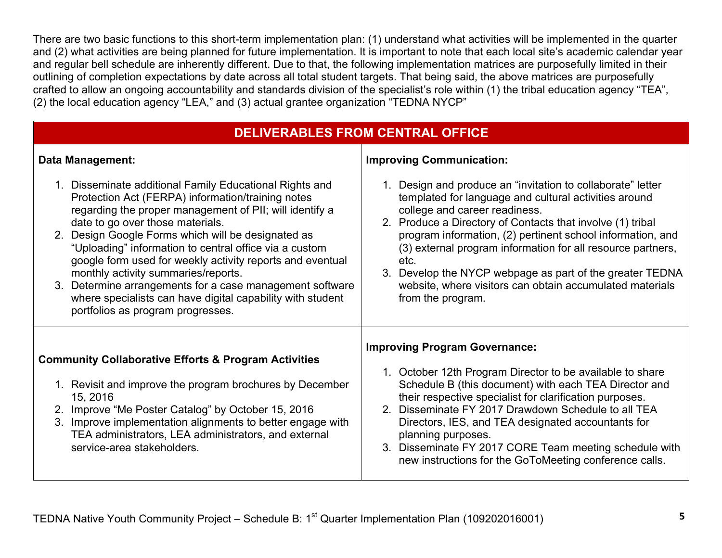<span id="page-4-0"></span>There are two basic functions to this short-term implementation plan: (1) understand what activities will be implemented in the quarter and (2) what activities are being planned for future implementation. It is important to note that each local site's academic calendar year and regular bell schedule are inherently different. Due to that, the following implementation matrices are purposefully limited in their outlining of completion expectations by date across all total student targets. That being said, the above matrices are purposefully crafted to allow an ongoing accountability and standards division of the specialist's role within (1) the tribal education agency "TEA", (2) the local education agency "LEA," and (3) actual grantee organization "TEDNA NYCP"

| <b>DELIVERABLES FROM CENTRAL OFFICE</b>                                                                                                                                                                                                                                                                                                                                                                                                                                                                                                                                                        |                                                                                                                                                                                                                                                                                                                                                                                                                                                                                                       |  |  |  |  |  |
|------------------------------------------------------------------------------------------------------------------------------------------------------------------------------------------------------------------------------------------------------------------------------------------------------------------------------------------------------------------------------------------------------------------------------------------------------------------------------------------------------------------------------------------------------------------------------------------------|-------------------------------------------------------------------------------------------------------------------------------------------------------------------------------------------------------------------------------------------------------------------------------------------------------------------------------------------------------------------------------------------------------------------------------------------------------------------------------------------------------|--|--|--|--|--|
| <b>Data Management:</b>                                                                                                                                                                                                                                                                                                                                                                                                                                                                                                                                                                        | <b>Improving Communication:</b>                                                                                                                                                                                                                                                                                                                                                                                                                                                                       |  |  |  |  |  |
| 1. Disseminate additional Family Educational Rights and<br>Protection Act (FERPA) information/training notes<br>regarding the proper management of PII; will identify a<br>date to go over those materials.<br>2. Design Google Forms which will be designated as<br>"Uploading" information to central office via a custom<br>google form used for weekly activity reports and eventual<br>monthly activity summaries/reports.<br>3. Determine arrangements for a case management software<br>where specialists can have digital capability with student<br>portfolios as program progresses. | 1. Design and produce an "invitation to collaborate" letter<br>templated for language and cultural activities around<br>college and career readiness.<br>2. Produce a Directory of Contacts that involve (1) tribal<br>program information, (2) pertinent school information, and<br>(3) external program information for all resource partners,<br>etc.<br>3. Develop the NYCP webpage as part of the greater TEDNA<br>website, where visitors can obtain accumulated materials<br>from the program. |  |  |  |  |  |
| <b>Community Collaborative Efforts &amp; Program Activities</b><br>1. Revisit and improve the program brochures by December<br>15, 2016<br>2. Improve "Me Poster Catalog" by October 15, 2016<br>3. Improve implementation alignments to better engage with<br>TEA administrators, LEA administrators, and external<br>service-area stakeholders.                                                                                                                                                                                                                                              | <b>Improving Program Governance:</b><br>1. October 12th Program Director to be available to share<br>Schedule B (this document) with each TEA Director and<br>their respective specialist for clarification purposes.<br>2. Disseminate FY 2017 Drawdown Schedule to all TEA<br>Directors, IES, and TEA designated accountants for<br>planning purposes.<br>3. Disseminate FY 2017 CORE Team meeting schedule with<br>new instructions for the GoToMeeting conference calls.                          |  |  |  |  |  |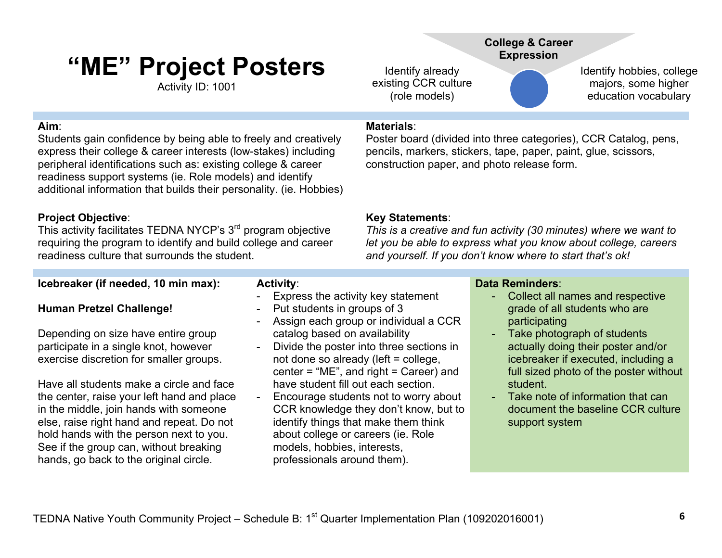# <span id="page-5-0"></span>**"ME" Project Posters**

Activity ID: 1001

### **Aim**:

Students gain confidence by being able to freely and creatively express their college & career interests (low-stakes) including peripheral identifications such as: existing college & career readiness support systems (ie. Role models) and identify additional information that builds their personality. (ie. Hobbies)

### **Project Objective**:

This activity facilitates TEDNA NYCP's 3<sup>rd</sup> program objective requiring the program to identify and build college and career readiness culture that surrounds the student.

### **Icebreaker (if needed, 10 min max):**

### **Human Pretzel Challenge!**

Depending on size have entire group participate in a single knot, however exercise discretion for smaller groups.

Have all students make a circle and face the center, raise your left hand and place in the middle, join hands with someone else, raise right hand and repeat. Do not hold hands with the person next to you. See if the group can, without breaking hands, go back to the original circle.

### **Activity**:

- Express the activity key statement
- Put students in groups of 3
- Assign each group or individual a CCR catalog based on availability
- Divide the poster into three sections in not done so already (left = college, center = "ME", and right = Career) and have student fill out each section.
- Encourage students not to worry about CCR knowledge they don't know, but to identify things that make them think about college or careers (ie. Role models, hobbies, interests, professionals around them).

### **College & Career Expression**

Identify already existing CCR culture (role models)

Identify hobbies, college majors, some higher education vocabulary

### **Materials**:

Poster board (divided into three categories), CCR Catalog, pens, [pencils, markers, stickers, tape, paper, paint, glue, scissors,](#page-11-0)  construction paper, and photo release form.

### **Key Statements**:

*This is a creative and fun activity (30 minutes) where we want to let you be able to express what you know about college, careers and yourself. If you don't know where to start that's ok!*

### **Data Reminders**:

- Collect all names and respective grade of all students who are participating
- Take photograph of students actually doing their poster and/or icebreaker if executed, including a full sized photo of the poster without student.
- Take note of information that can document the baseline CCR culture support system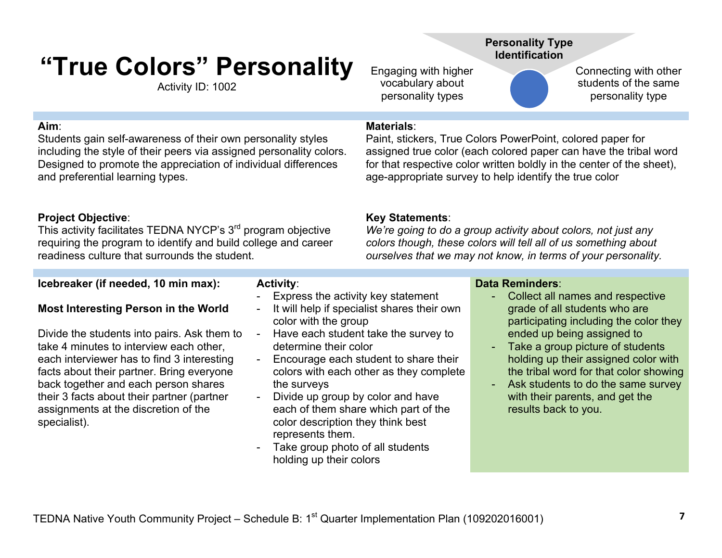# <span id="page-6-0"></span>**"True Colors" Personality**

Activity ID: 1002

### **Aim**:

Students gain self-awareness of their own personality styles including the style of their peers via assigned personality colors. Designed to promote the appreciation of individual differences and preferential learning types.

### **Project Objective**:

This activity facilitates TEDNA NYCP's 3<sup>rd</sup> program objective requiring the program to identify and build college and career readiness culture that surrounds the student.

### **Icebreaker (if needed, 10 min max):**

### **Most Interesting Person in the World**

Divide the students into pairs. Ask them to take 4 minutes to interview each other, each interviewer has to find 3 interesting facts about their partner. Bring everyone back together and each person shares their 3 facts about their partner (partner assignments at the discretion of the specialist).

### **Activity**:

- Express the activity key statement
- It will help if specialist shares their own color with the group
- Have each student take the survey to determine their color
- Encourage each student to share their colors with each other as they complete the surveys
- Divide up group by color and have each of them share which part of the color description they think best represents them.
- Take group photo of all students holding up their colors

#### **Data Reminders**:

*We're going to do a group activity about colors, not just any colors though, these colors will tell all of us something about ourselves that we may not know, in terms of your personality.*

- Collect all names and respective grade of all students who are participating including the color they ended up being assigned to
- Take a group picture of students holding up their assigned color with the tribal word for that color showing
- Ask students to do the same survey with their parents, and get the results back to you.

**Personality Type Identification**

Paint, stickers, True Colors PowerPoint, colored paper for

age-appropriate survey to help identify the true color

assigned true color (each colored paper can have the tribal word [for that respective color written boldly in the center of the sheet\),](#page-11-0)

Engaging with higher vocabulary about personality types

**Materials**:

**Key Statements**:

Connecting with other students of the same personality type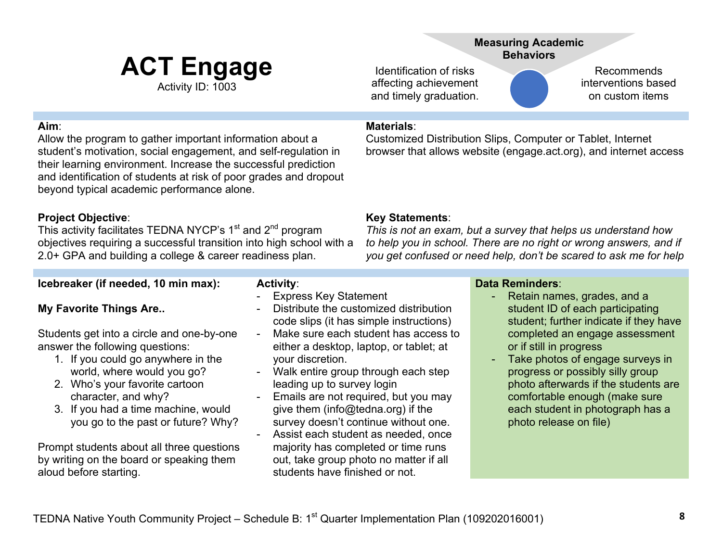## **ACT Engage** Activity ID: 1003

**Measuring Academic Behaviors**

Customized Distribution Slips, Computer or Tablet, Internet

[browser that allows website \(engage.act.org\), and internet access](#page-11-0) 

Identification of risks affecting achievement and timely graduation.

**Materials**:

Recommends interventions based on custom items

### <span id="page-7-0"></span>**Aim**:

Allow the program to gather important information about a student's motivation, social engagement, and self-regulation in their learning environment. Increase the successful prediction and identification of students at risk of poor grades and dropout beyond typical academic performance alone.

### **Project Objective**:

This activity facilitates TEDNA NYCP's 1<sup>st</sup> and 2<sup>nd</sup> program objectives requiring a successful transition into high school with a 2.0+ GPA and building a college & career readiness plan.

### **Icebreaker (if needed, 10 min max):**

### **My Favorite Things Are..**

Students get into a circle and one-by-one answer the following questions:

- 1. If you could go anywhere in the world, where would you go?
- 2. Who's your favorite cartoon character, and why?
- 3. If you had a time machine, would you go to the past or future? Why?

Prompt students about all three questions by writing on the board or speaking them aloud before starting.

- **Activity**: - Express Key Statement
- Distribute the customized distribution code slips (it has simple instructions)
- Make sure each student has access to either a desktop, laptop, or tablet; at your discretion.
- Walk entire group through each step leading up to survey login
- Emails are not required, but you may give them (info@tedna.org) if the survey doesn't continue without one.
- Assist each student as needed, once majority has completed or time runs out, take group photo no matter if all students have finished or not.

**Key Statements**:

*This is not an exam, but a survey that helps us understand how to help you in school. There are no right or wrong answers, and if you get confused or need help, don't be scared to ask me for help*

### **Data Reminders**:

- Retain names, grades, and a student ID of each participating student; further indicate if they have completed an engage assessment or if still in progress
- Take photos of engage surveys in progress or possibly silly group photo afterwards if the students are comfortable enough (make sure each student in photograph has a photo release on file)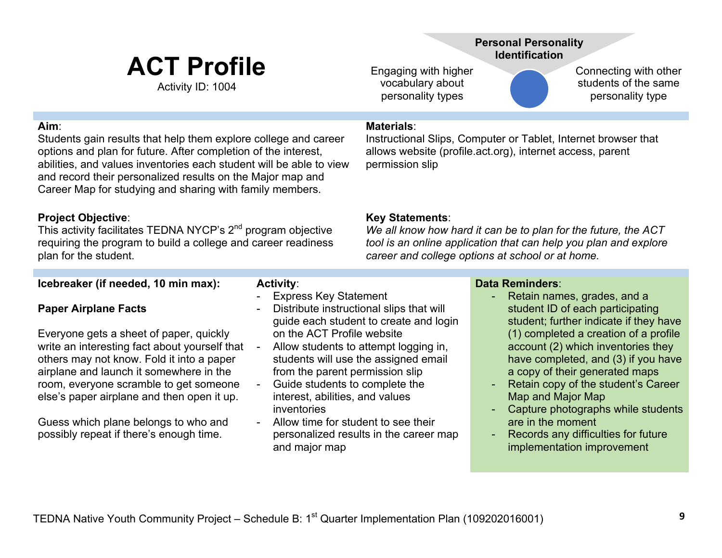# **ACT Profile**

Activity ID: 1004

### **Personal Personality Identification**

Engaging with higher vocabulary about personality types

Connecting with other students of the same personality type

### <span id="page-8-0"></span>**Aim**:

Students gain results that help them explore college and career options and plan for future. After completion of the interest, abilities, and values inventories each student will be able to view and record their personalized results on the Major map and Career Map for studying and sharing with family members.

### **Project Objective**:

This activity facilitates TEDNA NYCP's 2<sup>nd</sup> program objective requiring the program to build a college and career readiness plan for the student.

### **Icebreaker (if needed, 10 min max):**

### **Paper Airplane Facts**

Everyone gets a sheet of paper, quickly write an interesting fact about yourself that others may not know. Fold it into a paper airplane and launch it somewhere in the room, everyone scramble to get someone else's paper airplane and then open it up.

Guess which plane belongs to who and possibly repeat if there's enough time.

### **Materials**:

Instructional Slips, Computer or Tablet, Internet browser that [allows website \(profile.act.org\), internet access, parent](#page-11-0)  permission slip

### **Key Statements**:

*We all know how hard it can be to plan for the future, the ACT tool is an online application that can help you plan and explore career and college options at school or at home.*

### **Data Reminders**:

- Retain names, grades, and a student ID of each participating student; further indicate if they have (1) completed a creation of a profile account (2) which inventories they have completed, and (3) if you have a copy of their generated maps
- Retain copy of the student's Career Map and Major Map
- Capture photographs while students are in the moment
- Records any difficulties for future implementation improvement

inventories

and major map

**Activity**:

Express Key Statement

on the ACT Profile website - Allow students to attempt logging in, students will use the assigned email from the parent permission slip Guide students to complete the interest, abilities, and values

- Allow time for student to see their

personalized results in the career map

Distribute instructional slips that will guide each student to create and login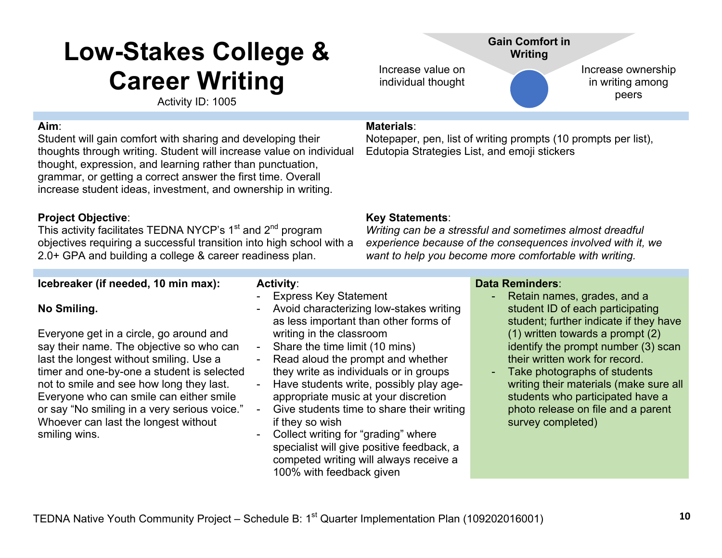# <span id="page-9-0"></span>**Low-Stakes College & Career Writing**

Activity ID: 1005

### **Aim**:

Student will gain comfort with sharing and developing their thoughts through writing. Student will increase value on individual thought, expression, and learning rather than punctuation, grammar, or getting a correct answer the first time. Overall increase student ideas, investment, and ownership in writing.

### **Project Objective**:

This activity facilitates TEDNA NYCP's  $1<sup>st</sup>$  and  $2<sup>nd</sup>$  program objectives requiring a successful transition into high school with a 2.0+ GPA and building a college & career readiness plan.

### **Icebreaker (if needed, 10 min max):**

### **No Smiling.**

Everyone get in a circle, go around and say their name. The objective so who can last the longest without smiling. Use a timer and one-by-one a student is selected not to smile and see how long they last. Everyone who can smile can either smile or say "No smiling in a very serious voice." Whoever can last the longest without smiling wins.

### **Activity**:

- Express Key Statement
- Avoid characterizing low-stakes writing as less important than other forms of writing in the classroom
- Share the time limit (10 mins)
- Read aloud the prompt and whether they write as individuals or in groups
- Have students write, possibly play ageappropriate music at your discretion
- Give students time to share their writing if they so wish
- Collect writing for "grading" where specialist will give positive feedback, a competed writing will always receive a 100% with feedback given

### **Materials**:

Increase value on individual thought

[Notepaper, pen, list of writing prompts \(10 prompts per list\),](#page-11-0)  Edutopia Strategies List, and emoji stickers

### **Key Statements**:

*Writing can be a stressful and sometimes almost dreadful experience because of the consequences involved with it, we want to help you become more comfortable with writing.*

### **Data Reminders**:

Retain names, grades, and a student ID of each participating student; further indicate if they have (1) written towards a prompt (2) identify the prompt number (3) scan their written work for record.

Increase ownership in writing among peers

Take photographs of students writing their materials (make sure all students who participated have a photo release on file and a parent survey completed)

### **Gain Comfort in Writing**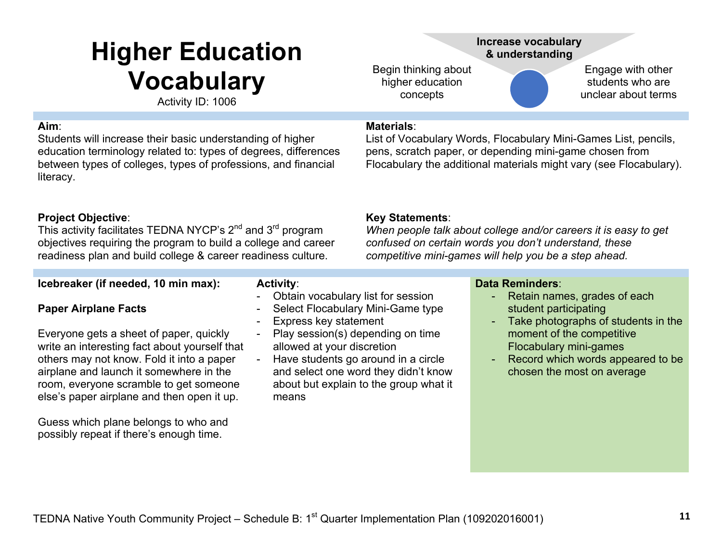# <span id="page-10-0"></span>**Higher Education Vocabulary**

Activity ID: 1006

#### **Aim**:

Students will increase their basic understanding of higher education terminology related to: types of degrees, differences between types of colleges, types of professions, and financial literacy.

### **Project Objective**:

This activity facilitates TEDNA NYCP's 2<sup>nd</sup> and 3<sup>rd</sup> program objectives requiring the program to build a college and career readiness plan and build college & career readiness culture.

### **Icebreaker (if needed, 10 min max):**

### **Paper Airplane Facts**

Everyone gets a sheet of paper, quickly write an interesting fact about yourself that others may not know. Fold it into a paper airplane and launch it somewhere in the room, everyone scramble to get someone else's paper airplane and then open it up.

Guess which plane belongs to who and possibly repeat if there's enough time.

### **Activity**:

- Obtain vocabulary list for session
- Select Flocabulary Mini-Game type
- Express key statement
- Play session(s) depending on time allowed at your discretion
- Have students go around in a circle and select one word they didn't know about but explain to the group what it means

### **Increase vocabulary & understanding**

Begin thinking about higher education concepts

Engage with other students who are unclear about terms

### **Materials**:

List of Vocabulary Words, Flocabulary Mini-Games List, pencils, pens, scratch paper, or depending mini-game chosen from [Flocabulary the additional materials might vary \(see Flocabulary\).](#page-11-0) 

### **Key Statements**:

*When people talk about college and/or careers it is easy to get confused on certain words you don't understand, these competitive mini-games will help you be a step ahead.*

### **Data Reminders**:

- Retain names, grades of each student participating
- Take photographs of students in the moment of the competitive Flocabulary mini-games
- Record which words appeared to be chosen the most on average